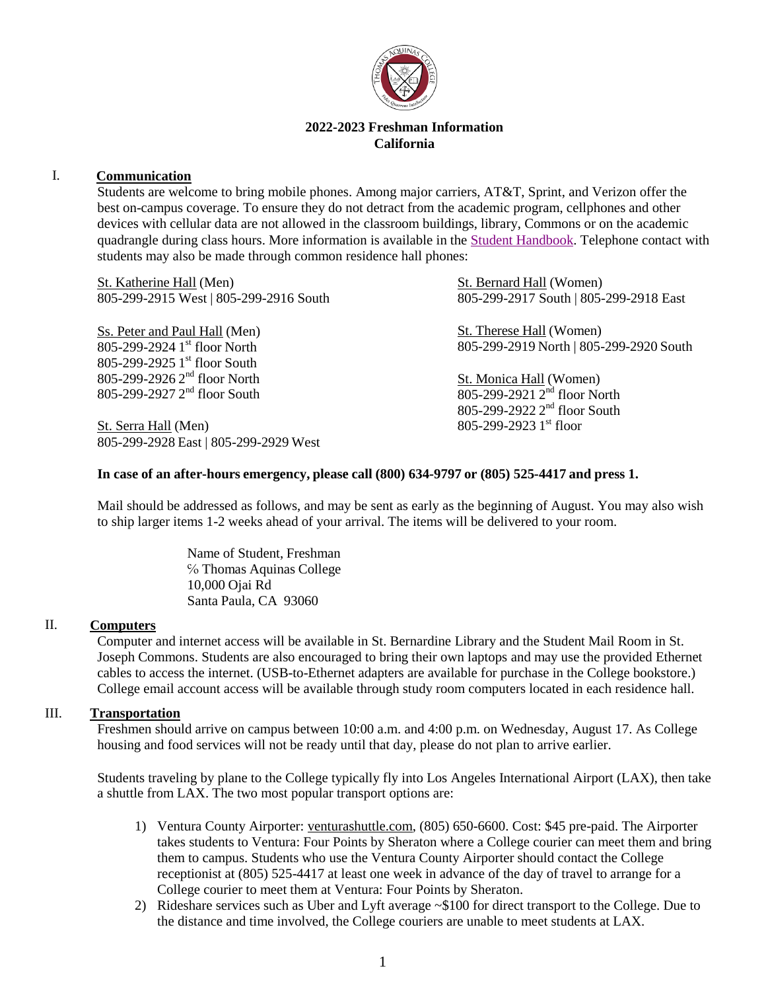

## **2022-2023 Freshman Information California**

## I. **Communication**

Students are welcome to bring mobile phones. Among major carriers, AT&T, Sprint, and Verizon offer the best on-campus coverage. To ensure they do not detract from the academic program, cellphones and other devices with cellular data are not allowed in the classroom buildings, library, Commons or on the academic quadrangle during class hours. More information is available in the [Student Handbook.](https://www.thomasaquinas.edu/students/california-code-conduct) Telephone contact with students may also be made through common residence hall phones:

St. Katherine Hall (Men) 805-299-2915 West | 805-299-2916 South

Ss. Peter and Paul Hall (Men) 805-299-2924 1 st floor North 805-299-2925 1 st floor South 805-299-2926 2<sup>nd</sup> floor North 805-299-2927 2<sup>nd</sup> floor South

St. Serra Hall (Men) 805-299-2928 East | 805-299-2929 West St. Bernard Hall (Women) 805-299-2917 South | 805-299-2918 East

St. Therese Hall (Women) 805-299-2919 North | 805-299-2920 South

St. Monica Hall (Women) 805-299-2921 2<sup>nd</sup> floor North 805-299-2922 2<sup>nd</sup> floor South 805-299-2923 1st floor

### **In case of an after-hours emergency, please call (800) 634-9797 or (805) 525-4417 and press 1.**

Mail should be addressed as follows, and may be sent as early as the beginning of August. You may also wish to ship larger items 1-2 weeks ahead of your arrival. The items will be delivered to your room.

> Name of Student, Freshman ℅ Thomas Aquinas College 10,000 Ojai Rd Santa Paula, CA 93060

### II. **Computers**

Computer and internet access will be available in St. Bernardine Library and the Student Mail Room in St. Joseph Commons. Students are also encouraged to bring their own laptops and may use the provided Ethernet cables to access the internet. (USB-to-Ethernet adapters are available for purchase in the College bookstore.) College email account access will be available through study room computers located in each residence hall.

#### III. **Transportation**

Freshmen should arrive on campus between 10:00 a.m. and 4:00 p.m. on Wednesday, August 17. As College housing and food services will not be ready until that day, please do not plan to arrive earlier.

Students traveling by plane to the College typically fly into Los Angeles International Airport (LAX), then take a shuttle from LAX. The two most popular transport options are:

- 1) Ventura County Airporter: venturashuttle.com, (805) 650-6600. Cost: \$45 pre-paid. The Airporter takes students to Ventura: Four Points by Sheraton where a College courier can meet them and bring them to campus. Students who use the Ventura County Airporter should contact the College receptionist at (805) 525-4417 at least one week in advance of the day of travel to arrange for a College courier to meet them at Ventura: Four Points by Sheraton.
- 2) Rideshare services such as Uber and Lyft average ~\$100 for direct transport to the College. Due to the distance and time involved, the College couriers are unable to meet students at LAX.